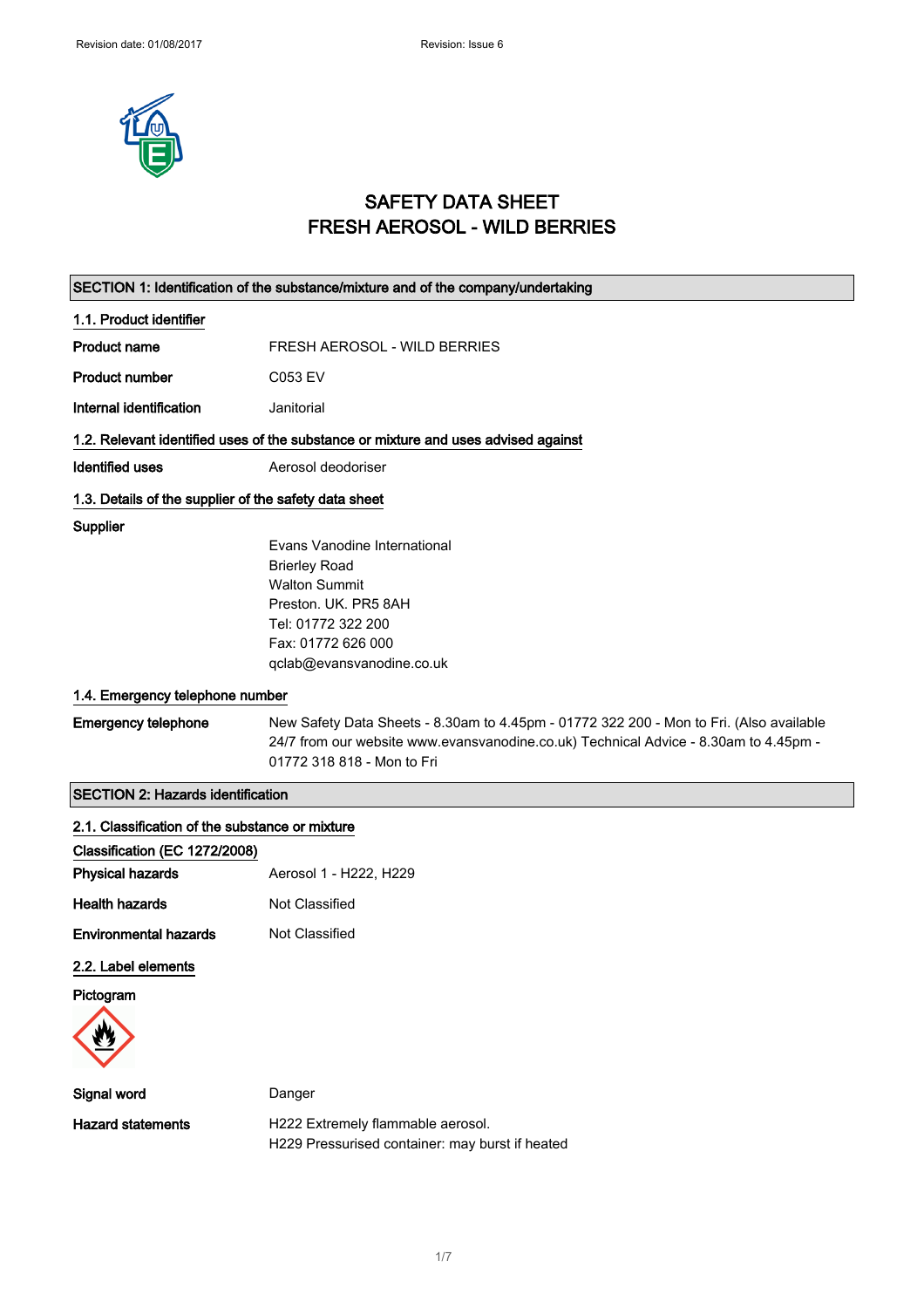

# SAFETY DATA SHEET FRESH AEROSOL - WILD BERRIES

|                                                                                  | SECTION 1: Identification of the substance/mixture and of the company/undertaking                                                                                                                             |
|----------------------------------------------------------------------------------|---------------------------------------------------------------------------------------------------------------------------------------------------------------------------------------------------------------|
| 1.1. Product identifier                                                          |                                                                                                                                                                                                               |
| Product name                                                                     | FRESH AEROSOL - WILD BERRIES                                                                                                                                                                                  |
| <b>Product number</b>                                                            | C053 EV                                                                                                                                                                                                       |
| Internal identification                                                          | Janitorial                                                                                                                                                                                                    |
|                                                                                  | 1.2. Relevant identified uses of the substance or mixture and uses advised against                                                                                                                            |
| <b>Identified uses</b>                                                           | Aerosol deodoriser                                                                                                                                                                                            |
| 1.3. Details of the supplier of the safety data sheet                            |                                                                                                                                                                                                               |
| Supplier                                                                         | Evans Vanodine International<br><b>Brierley Road</b><br><b>Walton Summit</b><br>Preston. UK. PR5 8AH<br>Tel: 01772 322 200<br>Fax: 01772 626 000<br>qclab@evansvanodine.co.uk                                 |
| 1.4. Emergency telephone number                                                  |                                                                                                                                                                                                               |
| <b>Emergency telephone</b>                                                       | New Safety Data Sheets - 8.30am to 4.45pm - 01772 322 200 - Mon to Fri. (Also available<br>24/7 from our website www.evansvanodine.co.uk) Technical Advice - 8.30am to 4.45pm -<br>01772 318 818 - Mon to Fri |
| <b>SECTION 2: Hazards identification</b>                                         |                                                                                                                                                                                                               |
| 2.1. Classification of the substance or mixture<br>Classification (EC 1272/2008) |                                                                                                                                                                                                               |
| <b>Physical hazards</b>                                                          | Aerosol 1 - H222, H229                                                                                                                                                                                        |
| <b>Health hazards</b>                                                            | Not Classified                                                                                                                                                                                                |
| <b>Environmental hazards</b>                                                     | Not Classified                                                                                                                                                                                                |
| 2.2. Label elements                                                              |                                                                                                                                                                                                               |
| Pictogram                                                                        |                                                                                                                                                                                                               |
| Signal word                                                                      | Danger                                                                                                                                                                                                        |
| <b>Hazard statements</b>                                                         | H222 Extremely flammable aerosol.<br>H229 Pressurised container: may burst if heated                                                                                                                          |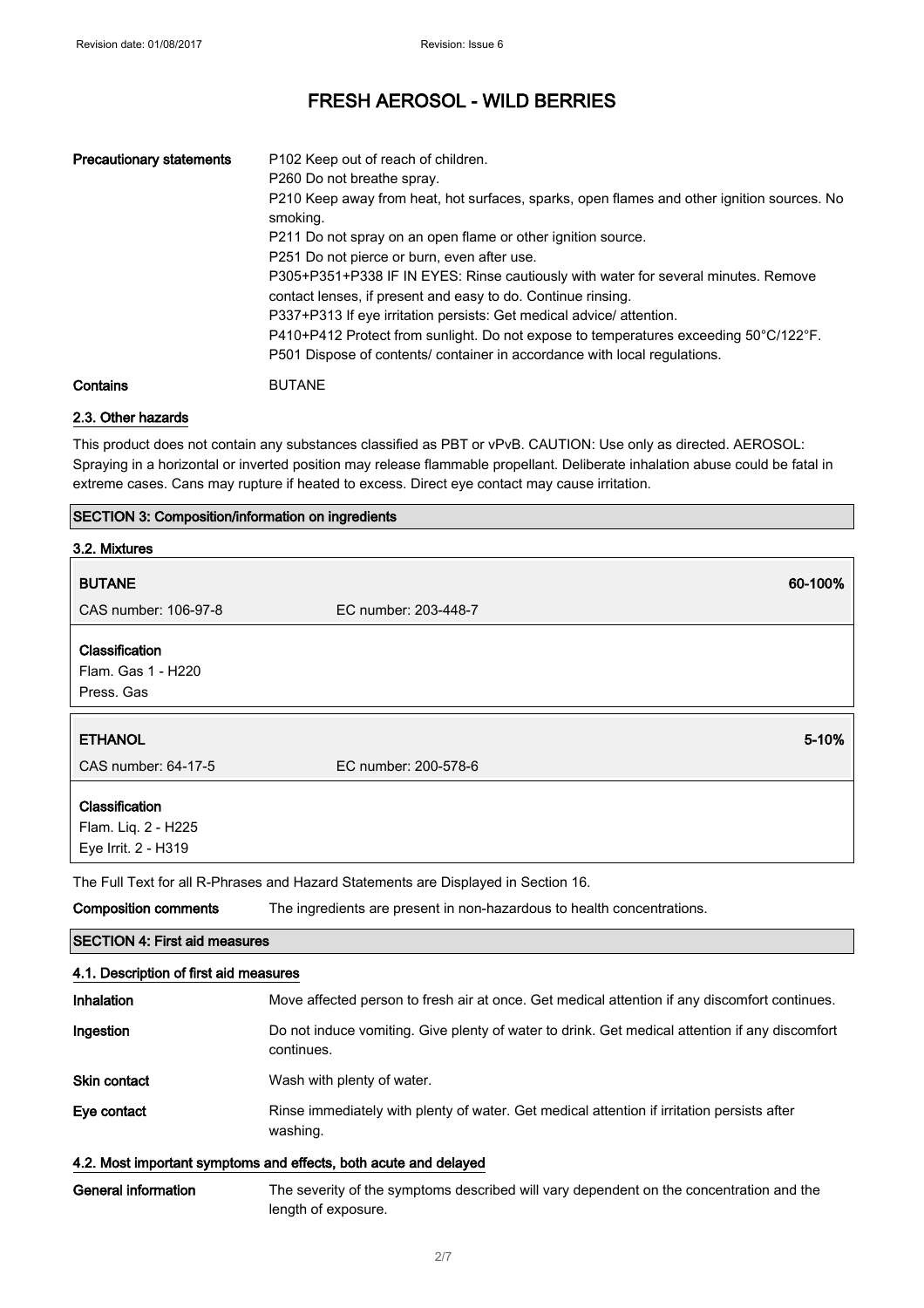| <b>Precautionary statements</b> | P102 Keep out of reach of children.<br>P260 Do not breathe spray.<br>P210 Keep away from heat, hot surfaces, sparks, open flames and other ignition sources. No<br>smoking.<br>P211 Do not spray on an open flame or other ignition source.<br>P251 Do not pierce or burn, even after use.<br>P305+P351+P338 IF IN EYES: Rinse cautiously with water for several minutes. Remove<br>contact lenses, if present and easy to do. Continue rinsing.<br>P337+P313 If eye irritation persists: Get medical advice/attention.<br>$P410+P412$ Protect from sunlight. Do not expose to temperatures exceeding 50 $^{\circ}$ C/122 $^{\circ}$ F.<br>P501 Dispose of contents/ container in accordance with local regulations. |
|---------------------------------|----------------------------------------------------------------------------------------------------------------------------------------------------------------------------------------------------------------------------------------------------------------------------------------------------------------------------------------------------------------------------------------------------------------------------------------------------------------------------------------------------------------------------------------------------------------------------------------------------------------------------------------------------------------------------------------------------------------------|
| Contains                        | <b>BUTANE</b>                                                                                                                                                                                                                                                                                                                                                                                                                                                                                                                                                                                                                                                                                                        |

## 2.3. Other hazards

This product does not contain any substances classified as PBT or vPvB. CAUTION: Use only as directed. AEROSOL: Spraying in a horizontal or inverted position may release flammable propellant. Deliberate inhalation abuse could be fatal in extreme cases. Cans may rupture if heated to excess. Direct eye contact may cause irritation.

### SECTION 3: Composition/information on ingredients

| 3.2. Mixtures                                                    |                                                                                                                |
|------------------------------------------------------------------|----------------------------------------------------------------------------------------------------------------|
| <b>BUTANE</b>                                                    | 60-100%                                                                                                        |
| CAS number: 106-97-8                                             | EC number: 203-448-7                                                                                           |
| Classification                                                   |                                                                                                                |
| Flam. Gas 1 - H220                                               |                                                                                                                |
| Press. Gas                                                       |                                                                                                                |
| <b>ETHANOL</b>                                                   | 5-10%                                                                                                          |
|                                                                  |                                                                                                                |
| CAS number: 64-17-5                                              | EC number: 200-578-6                                                                                           |
| Classification                                                   |                                                                                                                |
| Flam. Liq. 2 - H225                                              |                                                                                                                |
| Eye Irrit. 2 - H319                                              |                                                                                                                |
|                                                                  | The Full Text for all R-Phrases and Hazard Statements are Displayed in Section 16.                             |
| <b>Composition comments</b>                                      | The ingredients are present in non-hazardous to health concentrations.                                         |
| <b>SECTION 4: First aid measures</b>                             |                                                                                                                |
| 4.1. Description of first aid measures                           |                                                                                                                |
| Inhalation                                                       | Move affected person to fresh air at once. Get medical attention if any discomfort continues.                  |
| Ingestion                                                        | Do not induce vomiting. Give plenty of water to drink. Get medical attention if any discomfort<br>continues.   |
| <b>Skin contact</b>                                              | Wash with plenty of water.                                                                                     |
| Eye contact                                                      | Rinse immediately with plenty of water. Get medical attention if irritation persists after<br>washing.         |
| 4.2. Most important symptoms and effects, both acute and delayed |                                                                                                                |
| <b>General information</b>                                       | The severity of the symptoms described will vary dependent on the concentration and the<br>length of exposure. |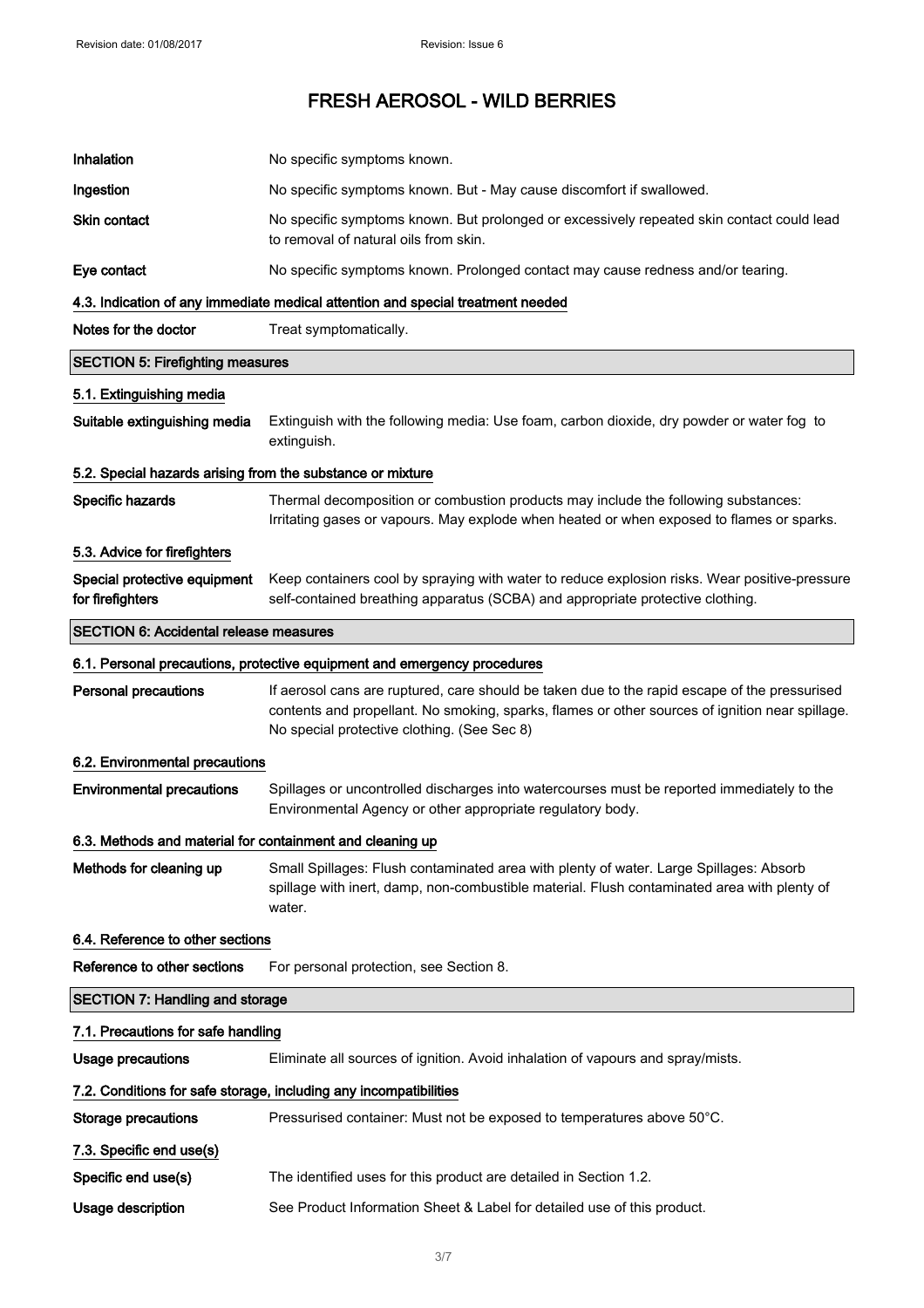| Inhalation                                                 | No specific symptoms known.                                                                                                                                                                                                                     |
|------------------------------------------------------------|-------------------------------------------------------------------------------------------------------------------------------------------------------------------------------------------------------------------------------------------------|
| Ingestion                                                  | No specific symptoms known. But - May cause discomfort if swallowed.                                                                                                                                                                            |
| Skin contact                                               | No specific symptoms known. But prolonged or excessively repeated skin contact could lead<br>to removal of natural oils from skin.                                                                                                              |
| Eye contact                                                | No specific symptoms known. Prolonged contact may cause redness and/or tearing.                                                                                                                                                                 |
|                                                            | 4.3. Indication of any immediate medical attention and special treatment needed                                                                                                                                                                 |
| Notes for the doctor                                       | Treat symptomatically.                                                                                                                                                                                                                          |
| <b>SECTION 5: Firefighting measures</b>                    |                                                                                                                                                                                                                                                 |
| 5.1. Extinguishing media                                   |                                                                                                                                                                                                                                                 |
| Suitable extinguishing media                               | Extinguish with the following media: Use foam, carbon dioxide, dry powder or water fog to<br>extinguish.                                                                                                                                        |
| 5.2. Special hazards arising from the substance or mixture |                                                                                                                                                                                                                                                 |
| Specific hazards                                           | Thermal decomposition or combustion products may include the following substances:<br>Irritating gases or vapours. May explode when heated or when exposed to flames or sparks.                                                                 |
| 5.3. Advice for firefighters                               |                                                                                                                                                                                                                                                 |
| Special protective equipment<br>for firefighters           | Keep containers cool by spraying with water to reduce explosion risks. Wear positive-pressure<br>self-contained breathing apparatus (SCBA) and appropriate protective clothing.                                                                 |
| <b>SECTION 6: Accidental release measures</b>              |                                                                                                                                                                                                                                                 |
|                                                            | 6.1. Personal precautions, protective equipment and emergency procedures                                                                                                                                                                        |
| <b>Personal precautions</b>                                | If aerosol cans are ruptured, care should be taken due to the rapid escape of the pressurised<br>contents and propellant. No smoking, sparks, flames or other sources of ignition near spillage.<br>No special protective clothing. (See Sec 8) |
| 6.2. Environmental precautions                             |                                                                                                                                                                                                                                                 |
| <b>Environmental precautions</b>                           | Spillages or uncontrolled discharges into watercourses must be reported immediately to the<br>Environmental Agency or other appropriate regulatory body.                                                                                        |
| 6.3. Methods and material for containment and cleaning up  |                                                                                                                                                                                                                                                 |
| Methods for cleaning up                                    | Small Spillages: Flush contaminated area with plenty of water. Large Spillages: Absorb<br>spillage with inert, damp, non-combustible material. Flush contaminated area with plenty of<br>water.                                                 |
| 6.4. Reference to other sections                           |                                                                                                                                                                                                                                                 |
| Reference to other sections                                | For personal protection, see Section 8.                                                                                                                                                                                                         |
| <b>SECTION 7: Handling and storage</b>                     |                                                                                                                                                                                                                                                 |
| 7.1. Precautions for safe handling                         |                                                                                                                                                                                                                                                 |
| <b>Usage precautions</b>                                   | Eliminate all sources of ignition. Avoid inhalation of vapours and spray/mists.                                                                                                                                                                 |
|                                                            | 7.2. Conditions for safe storage, including any incompatibilities                                                                                                                                                                               |
| <b>Storage precautions</b>                                 | Pressurised container: Must not be exposed to temperatures above 50°C.                                                                                                                                                                          |
| 7.3. Specific end use(s)                                   |                                                                                                                                                                                                                                                 |
| Specific end use(s)                                        | The identified uses for this product are detailed in Section 1.2.                                                                                                                                                                               |
| Usage description                                          | See Product Information Sheet & Label for detailed use of this product.                                                                                                                                                                         |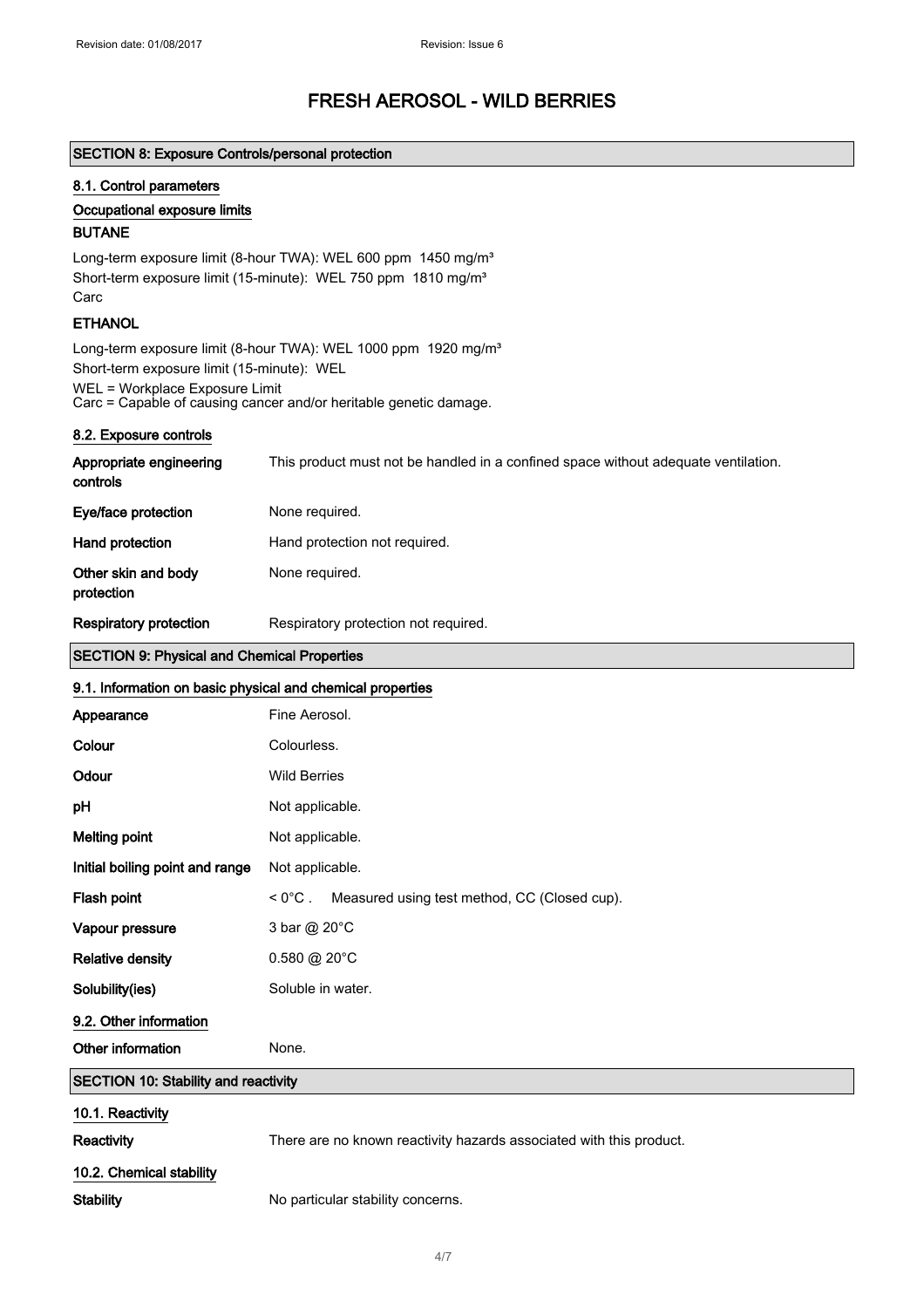### SECTION 8: Exposure Controls/personal protection

#### 8.1. Control parameters

### Occupational exposure limits

## BUTANE

Long-term exposure limit (8-hour TWA): WEL 600 ppm 1450 mg/m<sup>3</sup> Short-term exposure limit (15-minute): WEL 750 ppm 1810 mg/m<sup>3</sup> Carc

### **ETHANOL**

Long-term exposure limit (8-hour TWA): WEL 1000 ppm 1920 mg/m<sup>3</sup> Short-term exposure limit (15-minute): WEL WEL = Workplace Exposure Limit Carc = Capable of causing cancer and/or heritable genetic damage.

### 8.2. Exposure controls

| Appropriate engineering<br>controls | This product must not be handled in a confined space without adequate ventilation. |
|-------------------------------------|------------------------------------------------------------------------------------|
| Eye/face protection                 | None required.                                                                     |
| Hand protection                     | Hand protection not required.                                                      |
| Other skin and body<br>protection   | None required.                                                                     |
| <b>Respiratory protection</b>       | Respiratory protection not required.                                               |

## SECTION 9: Physical and Chemical Properties

### 9.1. Information on basic physical and chemical properties

| Appearance                                  | Fine Aerosol.                                                       |
|---------------------------------------------|---------------------------------------------------------------------|
| Colour                                      | Colourless.                                                         |
| Odour                                       | <b>Wild Berries</b>                                                 |
| pH                                          | Not applicable.                                                     |
| <b>Melting point</b>                        | Not applicable.                                                     |
| Initial boiling point and range             | Not applicable.                                                     |
| Flash point                                 | < 0°C. Measured using test method, CC (Closed cup).                 |
| Vapour pressure                             | 3 bar @ 20°C                                                        |
| <b>Relative density</b>                     | $0.580 \text{ @ } 20^{\circ} \text{C}$                              |
| Solubility(ies)                             | Soluble in water.                                                   |
| 9.2. Other information                      |                                                                     |
| Other information                           | None.                                                               |
| <b>SECTION 10: Stability and reactivity</b> |                                                                     |
| 10.1. Reactivity                            |                                                                     |
| Reactivity                                  | There are no known reactivity hazards associated with this product. |
| 10.2. Chemical stability                    |                                                                     |
| <b>Stability</b>                            | No particular stability concerns.                                   |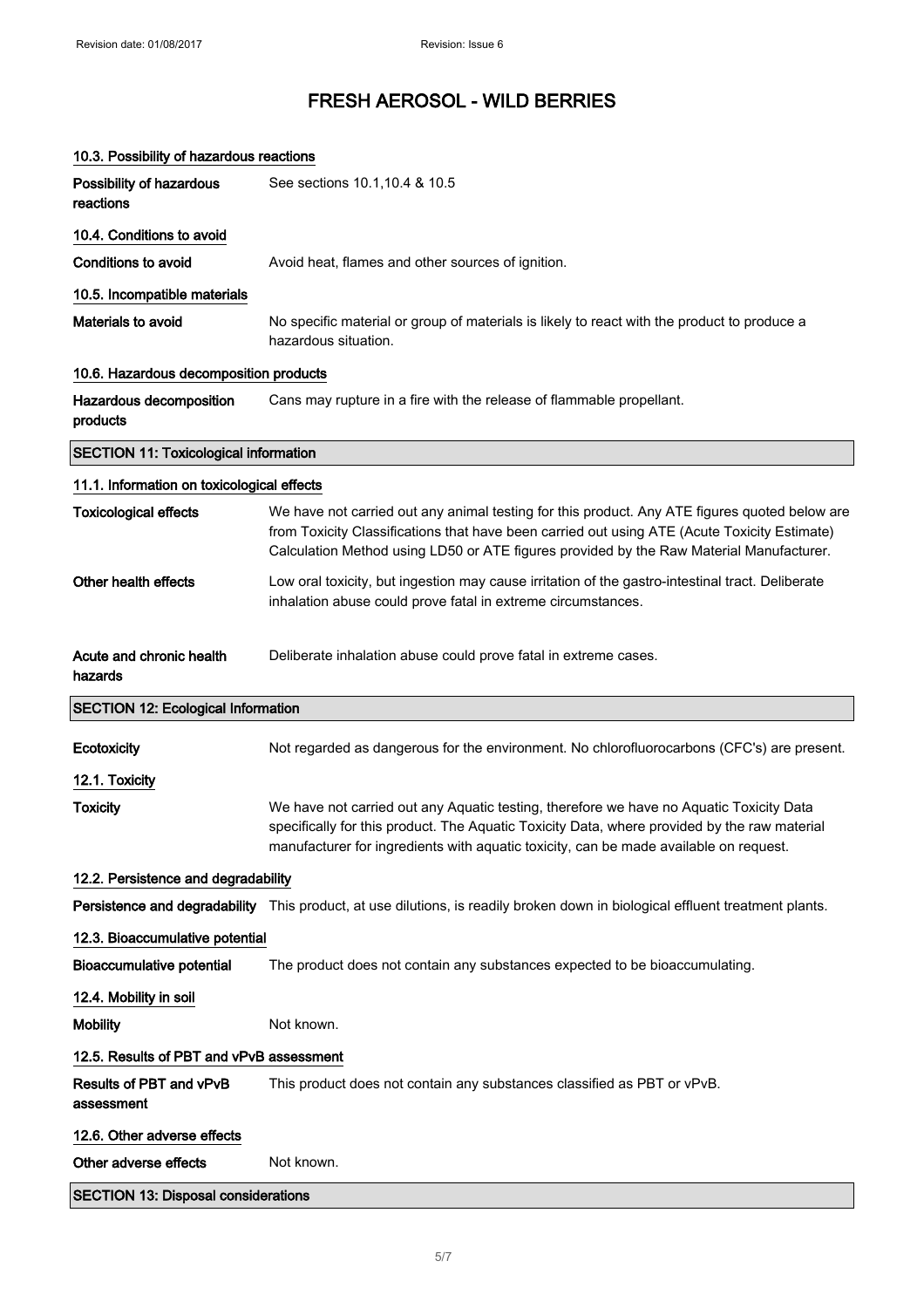| 10.3. Possibility of hazardous reactions     |                                                                                                                                                                                                                                                                                          |
|----------------------------------------------|------------------------------------------------------------------------------------------------------------------------------------------------------------------------------------------------------------------------------------------------------------------------------------------|
| Possibility of hazardous<br>reactions        | See sections 10.1, 10.4 & 10.5                                                                                                                                                                                                                                                           |
| 10.4. Conditions to avoid                    |                                                                                                                                                                                                                                                                                          |
| <b>Conditions to avoid</b>                   | Avoid heat, flames and other sources of ignition.                                                                                                                                                                                                                                        |
| 10.5. Incompatible materials                 |                                                                                                                                                                                                                                                                                          |
| Materials to avoid                           | No specific material or group of materials is likely to react with the product to produce a<br>hazardous situation.                                                                                                                                                                      |
| 10.6. Hazardous decomposition products       |                                                                                                                                                                                                                                                                                          |
| Hazardous decomposition<br>products          | Cans may rupture in a fire with the release of flammable propellant.                                                                                                                                                                                                                     |
| <b>SECTION 11: Toxicological information</b> |                                                                                                                                                                                                                                                                                          |
| 11.1. Information on toxicological effects   |                                                                                                                                                                                                                                                                                          |
| <b>Toxicological effects</b>                 | We have not carried out any animal testing for this product. Any ATE figures quoted below are<br>from Toxicity Classifications that have been carried out using ATE (Acute Toxicity Estimate)<br>Calculation Method using LD50 or ATE figures provided by the Raw Material Manufacturer. |
| Other health effects                         | Low oral toxicity, but ingestion may cause irritation of the gastro-intestinal tract. Deliberate<br>inhalation abuse could prove fatal in extreme circumstances.                                                                                                                         |
| Acute and chronic health<br>hazards          | Deliberate inhalation abuse could prove fatal in extreme cases.                                                                                                                                                                                                                          |
| <b>SECTION 12: Ecological Information</b>    |                                                                                                                                                                                                                                                                                          |
| Ecotoxicity                                  | Not regarded as dangerous for the environment. No chlorofluorocarbons (CFC's) are present.                                                                                                                                                                                               |
| 12.1. Toxicity                               |                                                                                                                                                                                                                                                                                          |
| <b>Toxicity</b>                              | We have not carried out any Aquatic testing, therefore we have no Aquatic Toxicity Data<br>specifically for this product. The Aquatic Toxicity Data, where provided by the raw material<br>manufacturer for ingredients with aquatic toxicity, can be made available on request.         |
| 12.2. Persistence and degradability          |                                                                                                                                                                                                                                                                                          |
|                                              | Persistence and degradability This product, at use dilutions, is readily broken down in biological effluent treatment plants.                                                                                                                                                            |
| 12.3. Bioaccumulative potential              |                                                                                                                                                                                                                                                                                          |
| <b>Bioaccumulative potential</b>             | The product does not contain any substances expected to be bioaccumulating.                                                                                                                                                                                                              |
| 12.4. Mobility in soil                       |                                                                                                                                                                                                                                                                                          |
| <b>Mobility</b>                              | Not known.                                                                                                                                                                                                                                                                               |
| 12.5. Results of PBT and vPvB assessment     |                                                                                                                                                                                                                                                                                          |
| Results of PBT and vPvB<br>assessment        | This product does not contain any substances classified as PBT or vPvB.                                                                                                                                                                                                                  |
| 12.6. Other adverse effects                  |                                                                                                                                                                                                                                                                                          |
| Other adverse effects                        | Not known.                                                                                                                                                                                                                                                                               |
| <b>SECTION 13: Disposal considerations</b>   |                                                                                                                                                                                                                                                                                          |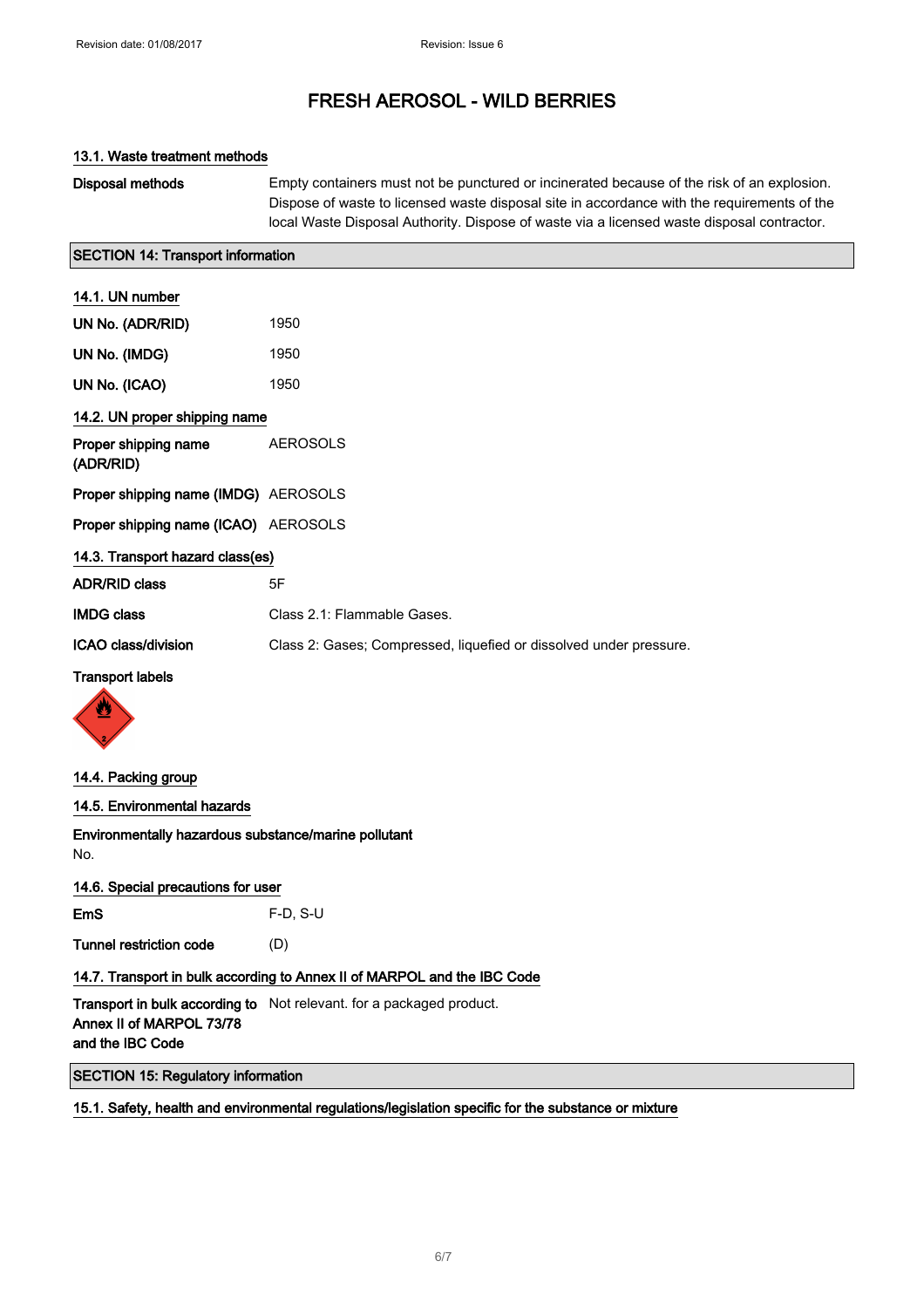### 13.1. Waste treatment methods

Disposal methods Empty containers must not be punctured or incinerated because of the risk of an explosion. Dispose of waste to licensed waste disposal site in accordance with the requirements of the local Waste Disposal Authority. Dispose of waste via a licensed waste disposal contractor.

### SECTION 14: Transport information

| 14.1. UN number                      |                                                                    |
|--------------------------------------|--------------------------------------------------------------------|
| UN No. (ADR/RID)                     | 1950                                                               |
| UN No. (IMDG)                        | 1950                                                               |
| UN No. (ICAO)                        | 1950                                                               |
| 14.2. UN proper shipping name        |                                                                    |
| Proper shipping name<br>(ADR/RID)    | <b>AEROSOLS</b>                                                    |
| Proper shipping name (IMDG) AEROSOLS |                                                                    |
| Proper shipping name (ICAO) AEROSOLS |                                                                    |
| 14.3. Transport hazard class(es)     |                                                                    |
| <b>ADR/RID class</b>                 | 5F                                                                 |
| <b>IMDG class</b>                    | Class 2.1: Flammable Gases.                                        |
| ICAO class/division                  | Class 2: Gases; Compressed, liquefied or dissolved under pressure. |
| <b>Transport labels</b>              |                                                                    |



### 14.4. Packing group

### 14.5. Environmental hazards

Environmentally hazardous substance/marine pollutant No.

### 14.6. Special precautions for user

EmS F-D, S-U

Tunnel restriction code (D)

## 14.7. Transport in bulk according to Annex II of MARPOL and the IBC Code

**Transport in bulk according to** Not relevant. for a packaged product. Annex II of MARPOL 73/78 and the IBC Code

SECTION 15: Regulatory information

### 15.1. Safety, health and environmental regulations/legislation specific for the substance or mixture